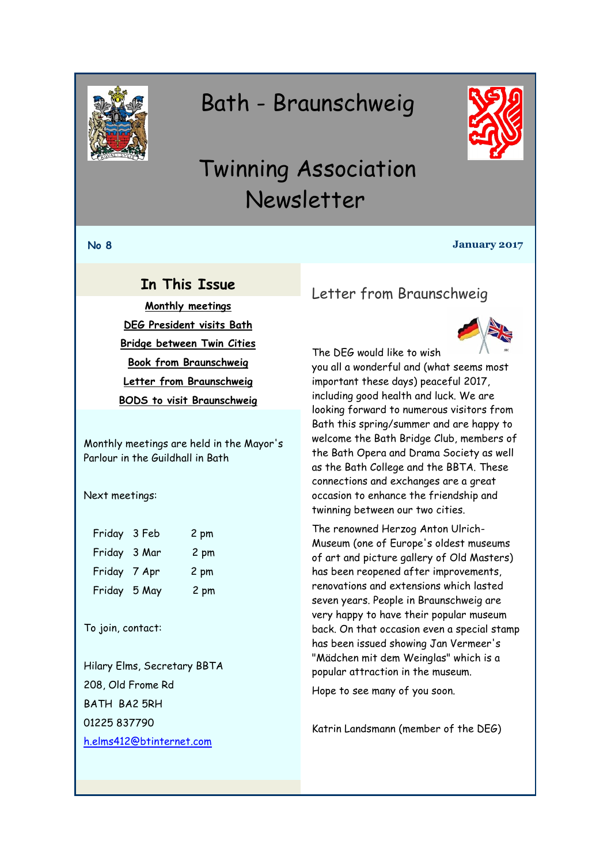<span id="page-0-0"></span>

# Bath - Braunschweig



# Twinning Association Newsletter

#### **No 8 January 2017**

# **In This Issue**

**[Monthly meetings](#page-0-0) [DEG President visits Bath](#page-1-0) [Bridge between Twin Cities](#page-2-0) [Book from Braunschweig](#page-2-0) [Letter from Braunschweig](#page-0-1) [BODS to visit Braunschweig](#page-1-1)**

Monthly meetings are held in the Mayor's Parlour in the Guildhall in Bath

Next meetings:

| Friday 3 Feb | 2 pm |
|--------------|------|
| Friday 3 Mar | 2 pm |
| Friday 7 Apr | 2 pm |
| Friday 5 May | 2 pm |
|              |      |

#### To join, contact:

Hilary Elms, Secretary BBTA 208, Old Frome Rd BATH BA2 5RH 01225 837790 [h.elms412@btinternet.com](mailto:h.elms412@btinternet.com)

# <span id="page-0-1"></span>Letter from Braunschweig



you all a wonderful and (what seems most important these days) peaceful 2017, including good health and luck. We are looking forward to numerous visitors from Bath this spring/summer and are happy to welcome the Bath Bridge Club, members of the Bath Opera and Drama Society as well as the Bath College and the BBTA. These connections and exchanges are a great occasion to enhance the friendship and twinning between our two cities.

The renowned Herzog Anton Ulrich-Museum (one of Europe's oldest museums of art and picture gallery of Old Masters) has been reopened after improvements, renovations and extensions which lasted seven years. People in Braunschweig are very happy to have their popular museum back. On that occasion even a special stamp has been issued showing Jan Vermeer's "Mädchen mit dem Weinglas" which is a popular attraction in the museum.

Hope to see many of you soon.

Katrin Landsmann (member of the DEG)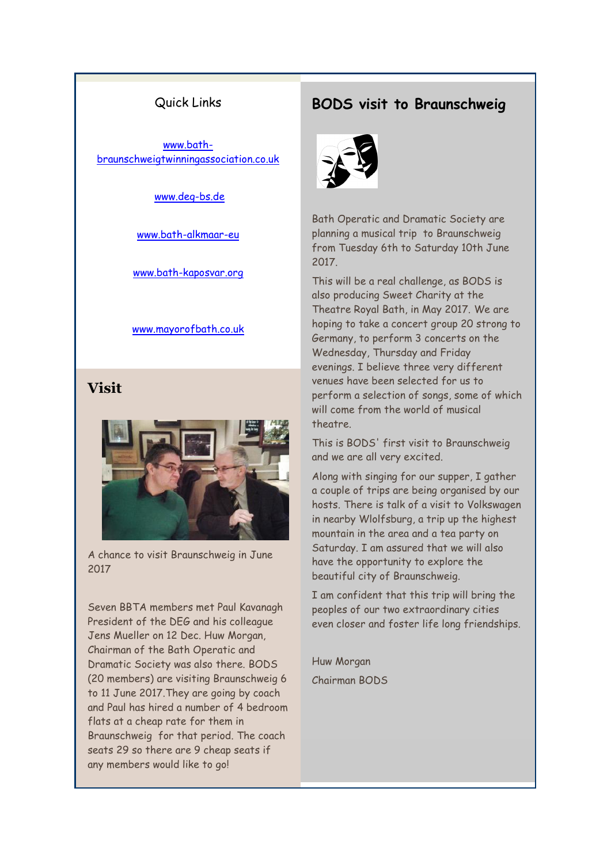#### Quick Links

<span id="page-1-0"></span>[www.bath](http://www.bath-braunschweigtwinningassociation.co.uk/)[braunschweigtwinningassociation.co.uk](http://www.bath-braunschweigtwinningassociation.co.uk/)

[www.deg-bs.de](http://www.deg-bs.de/)

[www.bath-alkmaar-eu](http://r20.rs6.net/tn.jsp?f=001sW4oD0K52d_35MR_9itB7ozOOZbRZNjEo6dnZ3pmLTFKKRrUu-05_431mRIlNk8oLv4SjMSclQL5zQw0eSPCEe4svCxB1qKpg_B1KWqHScx6wtnn6lWuzrOBIuWzhkcE_n8AChnkZkIaaELYZ-4zGiip6f0cO22N09xdPXt_RDU=&c=KLf372LJOCUT3P-LlUEEGGBwYX6W59uCiRLRRYOQkz-zi64fqvbJbQ==&ch=jMeVfEyiskgm4EI5R8ZdzB_OpEWRSLzDQA9THuyFOhNZ9H4u9splpA==)

[www.bath-kaposvar.org](http://r20.rs6.net/tn.jsp?f=001sW4oD0K52d_35MR_9itB7ozOOZbRZNjEo6dnZ3pmLTFKKRrUu-05_431mRIlNk8obReR-oJqlZfKNqbGyYHspmWSvZCh7ycOnY_IpIEriIWSrsNb4KZezYaeA3qj_peSR_pvDo-qxmSIRtL1xHVvke3EitlL2Q5E7VrcckCKYD3kCuViqYjm8Q==&c=KLf372LJOCUT3P-LlUEEGGBwYX6W59uCiRLRRYOQkz-zi64fqvbJbQ==&ch=jMeVfEyiskgm4EI5R8ZdzB_OpEWRSLzDQA9THuyFOhNZ9H4u9splpA==)

#### [www.mayorofbath.co.uk](http://www.mayorofbath.co.uk/)

# **Visit**



A chance to visit Braunschweig in June 2017

Seven BBTA members met Paul Kavanagh President of the DEG and his colleague Jens Mueller on 12 Dec. Huw Morgan, Chairman of the Bath Operatic and Dramatic Society was also there. BODS (20 members) are visiting Braunschweig 6 to 11 June 2017.They are going by coach and Paul has hired a number of 4 bedroom flats at a cheap rate for them in Braunschweig for that period. The coach seats 29 so there are 9 cheap seats if any members would like to go!

### <span id="page-1-1"></span>**BODS visit to Braunschweig**



Bath Operatic and Dramatic Society are planning a musical trip to Braunschweig from Tuesday 6th to Saturday 10th June 2017.

This will be a real challenge, as BODS is also producing Sweet Charity at the Theatre Royal Bath, in May 2017. We are hoping to take a concert group 20 strong to Germany, to perform 3 concerts on the Wednesday, Thursday and Friday evenings. I believe three very different venues have been selected for us to perform a selection of songs, some of which will come from the world of musical theatre.

This is BODS' first visit to Braunschweig and we are all very excited.

Along with singing for our supper, I gather a couple of trips are being organised by our hosts. There is talk of a visit to Volkswagen in nearby Wlolfsburg, a trip up the highest mountain in the area and a tea party on Saturday. I am assured that we will also have the opportunity to explore the beautiful city of Braunschweig.

I am confident that this trip will bring the peoples of our two extraordinary cities even closer and foster life long friendships.

Huw Morgan Chairman BODS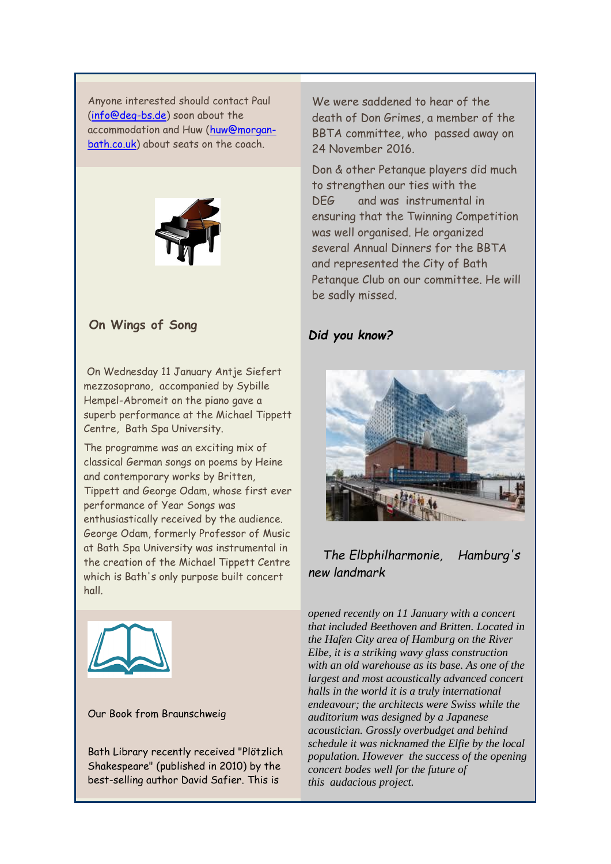<span id="page-2-0"></span>Anyone interested should contact Paul [\(info@deg-bs.de\)](mailto:info@deg-bs.de) soon about the accommodation and Huw [\(huw@morgan](mailto:huw@morgan-bath.co.uk)[bath.co.uk\)](mailto:huw@morgan-bath.co.uk) about seats on the coach.



#### **On Wings of Song**

On Wednesday 11 January Antje Siefert mezzosoprano, accompanied by Sybille Hempel-Abromeit on the piano gave a superb performance at the Michael Tippett Centre, Bath Spa University.

The programme was an exciting mix of classical German songs on poems by Heine and contemporary works by Britten, Tippett and George Odam, whose first ever performance of Year Songs was enthusiastically received by the audience. George Odam, formerly Professor of Music at Bath Spa University was instrumental in the creation of the Michael Tippett Centre which is Bath's only purpose built concert hall.



#### Our Book from Braunschweig

Bath Library recently received "Plötzlich Shakespeare" (published in 2010) by the best-selling author David Safier. This is

We were saddened to hear of the death of Don Grimes, a member of the BBTA committee, who passed away on 24 November 2016.

Don & other Petanque players did much to strengthen our ties with the DEG and was instrumental in ensuring that the Twinning Competition was well organised. He organized several Annual Dinners for the BBTA and represented the City of Bath Petanque Club on our committee. He will be sadly missed.

#### *Did you know?*



## *The Elbphilharmonie, Hamburg's new landmark*

*opened recently on 11 January with a concert that included Beethoven and Britten. Located in the Hafen City area of Hamburg on the River Elbe, it is a striking wavy glass construction with an old warehouse as its base. As one of the largest and most acoustically advanced concert halls in the world it is a truly international endeavour; the architects were Swiss while the auditorium was designed by a Japanese acoustician. Grossly overbudget and behind schedule it was nicknamed the Elfie by the local population. However the success of the opening concert bodes well for the future of this audacious project.*